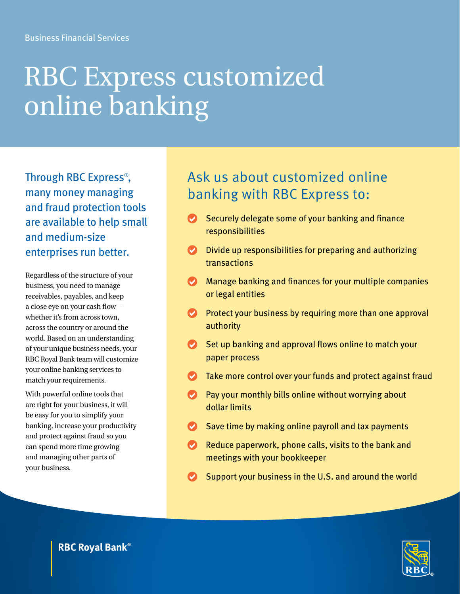# RBC Express customized online banking

Through RBC Express® , many money managing and fraud protection tools are available to help small and medium-size enterprises run better.

Regardless of the structure of your business, you need to manage receivables, payables, and keep a close eye on your cash flow – whether it's from across town, across the country or around the world. Based on an understanding of your unique business needs, your RBC Royal Bank team will customize your online banking services to match your requirements.

With powerful online tools that are right for your business, it will be easy for you to simplify your banking, increase your productivity and protect against fraud so you can spend more time growing and managing other parts of your business.

## Ask us about customized online banking with RBC Express to:

- Securely delegate some of your banking and finance responsibilities
- $\bullet$  Divide up responsibilities for preparing and authorizing transactions
- $\bullet$  Manage banking and finances for your multiple companies or legal entities
- $\bullet$  Protect your business by requiring more than one approval authority
- $\vee$  Set up banking and approval flows online to match your paper process
- $\bullet$  Take more control over your funds and protect against fraud
- $\bullet$  Pay your monthly bills online without worrying about dollar limits
- $\bullet$  Save time by making online payroll and tax payments
- Reduce paperwork, phone calls, visits to the bank and meetings with your bookkeeper
- Support your business in the U.S. and around the world



**RBC Royal Bank®**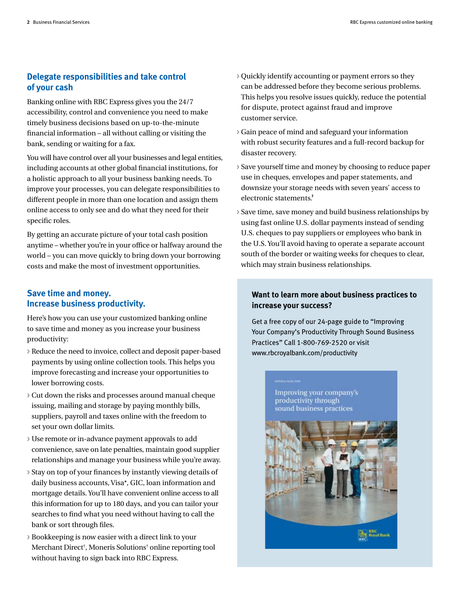#### **Delegate responsibilities and take control of your cash**

Banking online with RBC Express gives you the 24/7 accessibility, control and convenience you need to make timely business decisions based on up-to-the-minute financial information – all without calling or visiting the bank, sending or waiting for a fax.

You will have control over all your businesses and legal entities, including accounts at other global financial institutions, for a holistic approach to all your business banking needs. To improve your processes, you can delegate responsibilities to different people in more than one location and assign them online access to only see and do what they need for their specific roles.

By getting an accurate picture of your total cash position anytime – whether you're in your office or halfway around the world – you can move quickly to bring down your borrowing costs and make the most of investment opportunities.

#### **Save time and money. Increase business productivity.**

Here's how you can use your customized banking online to save time and money as you increase your business productivity:

- **>** Reduce the need to invoice, collect and deposit paper-based payments by using online collection tools. This helps you improve forecasting and increase your opportunities to lower borrowing costs.
- **>** Cut down the risks and processes around manual cheque issuing, mailing and storage by paying monthly bills, suppliers, payroll and taxes online with the freedom to set your own dollar limits.
- **>** Use remote or in-advance payment approvals to add convenience, save on late penalties, maintain good supplier relationships and manage your business while you're away.
- **>** Stay on top of your finances by instantly viewing details of daily business accounts, Visa\*, GIC, loan information and mortgage details. You'll have convenient online access to all this information for up to 180 days, and you can tailor your searches to find what you need without having to call the bank or sort through files.
- **>** Bookkeeping is now easier with a direct link to your Merchant Direct<sup>†</sup>, Moneris Solutions<sup>†</sup> online reporting tool without having to sign back into RBC Express.
- **>** Quickly identify accounting or payment errors so they can be addressed before they become serious problems. This helps you resolve issues quickly, reduce the potential for dispute, protect against fraud and improve customer service.
- **>** Gain peace of mind and safeguard your information with robust security features and a full-record backup for disaster recovery.
- **>** Save yourself time and money by choosing to reduce paper use in cheques, envelopes and paper statements, and downsize your storage needs with seven years' access to electronic statements.‡
- **>** Save time, save money and build business relationships by using fast online U.S. dollar payments instead of sending U.S. cheques to pay suppliers or employees who bank in the U.S. You'll avoid having to operate a separate account south of the border or waiting weeks for cheques to clear, which may strain business relationships.

#### **Want to learn more about business practices to increase your success?**

Get a free copy of our 24-page guide to "Improving Your Company's Productivity Through Sound Business Practices" Call 1-800-769-2520 or visit www.rbcroyalbank.com/productivity

> Improving your company's productivity through sound business practices

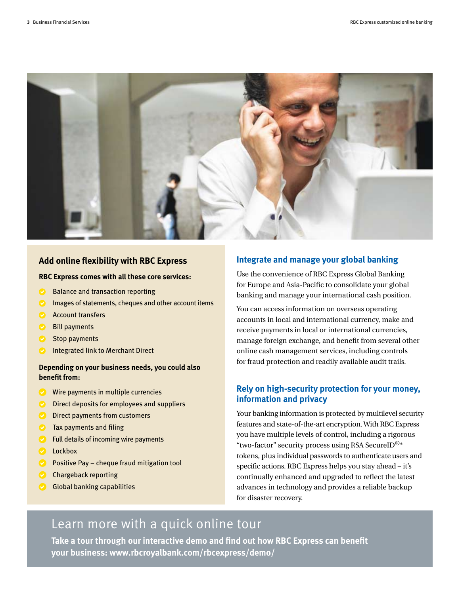

#### **Add online flexibility with RBC Express**

#### **RBC Express comes with all these core services:**

- Balance and transaction reporting
- Images of statements, cheques and other account items
- **Account transfers**
- **Bill payments**
- Stop payments
- Integrated link to Merchant Direct

#### **Depending on your business needs, you could also benefit from:**

- Wire payments in multiple currencies
- Direct deposits for employees and suppliers
- **Direct payments from customers**
- Tax payments and filing
- Full details of incoming wire payments
- **Lockbox**
- Positive Pay cheque fraud mitigation tool
- **Chargeback reporting**
- **Global banking capabilities**

#### **Integrate and manage your global banking**

Use the convenience of RBC Express Global Banking for Europe and Asia-Pacific to consolidate your global banking and manage your international cash position.

You can access information on overseas operating accounts in local and international currency, make and receive payments in local or international currencies, manage foreign exchange, and benefit from several other online cash management services, including controls for fraud protection and readily available audit trails.

#### **Rely on high-security protection for your money, information and privacy**

Your banking information is protected by multilevel security features and state-of-the-art encryption. With RBC Express you have multiple levels of control, including a rigorous "two-factor" security process using RSA SecureID $^{\circledR*}$ tokens, plus individual passwords to authenticate users and specific actions. RBC Express helps you stay ahead – it's continually enhanced and upgraded to reflect the latest advances in technology and provides a reliable backup for disaster recovery.

### Learn more with a quick online tour

**Take a tour through our interactive demo and find out how RBC Express can benefit your business: www.rbcroyalbank.com/rbcexpress/demo/**